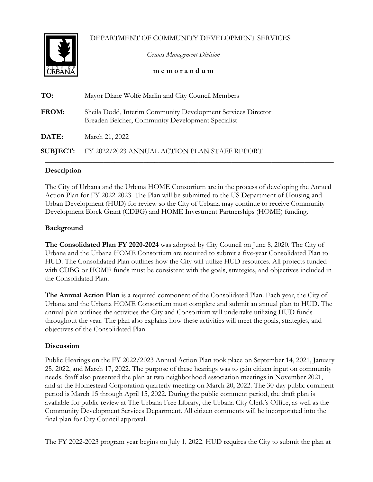DEPARTMENT OF COMMUNITY DEVELOPMENT SERVICES



*Grants Management Division*

**m e m o r a n d u m**

| TO:             | Mayor Diane Wolfe Marlin and City Council Members                                                                 |
|-----------------|-------------------------------------------------------------------------------------------------------------------|
| <b>FROM:</b>    | Sheila Dodd, Interim Community Development Services Director<br>Breaden Belcher, Community Development Specialist |
| <b>DATE:</b>    | March 21, 2022                                                                                                    |
| <b>SUBJECT:</b> | FY 2022/2023 ANNUAL ACTION PLAN STAFF REPORT                                                                      |

## **Description**

The City of Urbana and the Urbana HOME Consortium are in the process of developing the Annual Action Plan for FY 2022-2023. The Plan will be submitted to the US Department of Housing and Urban Development (HUD) for review so the City of Urbana may continue to receive Community Development Block Grant (CDBG) and HOME Investment Partnerships (HOME) funding.

## **Background**

**The Consolidated Plan FY 2020-2024** was adopted by City Council on June 8, 2020. The City of Urbana and the Urbana HOME Consortium are required to submit a five-year Consolidated Plan to HUD. The Consolidated Plan outlines how the City will utilize HUD resources. All projects funded with CDBG or HOME funds must be consistent with the goals, strategies, and objectives included in the Consolidated Plan.

**The Annual Action Plan** is a required component of the Consolidated Plan. Each year, the City of Urbana and the Urbana HOME Consortium must complete and submit an annual plan to HUD. The annual plan outlines the activities the City and Consortium will undertake utilizing HUD funds throughout the year. The plan also explains how these activities will meet the goals, strategies, and objectives of the Consolidated Plan.

## **Discussion**

Public Hearings on the FY 2022/2023 Annual Action Plan took place on September 14, 2021, January 25, 2022, and March 17, 2022. The purpose of these hearings was to gain citizen input on community needs. Staff also presented the plan at two neighborhood association meetings in November 2021, and at the Homestead Corporation quarterly meeting on March 20, 2022. The 30-day public comment period is March 15 through April 15, 2022. During the public comment period, the draft plan is available for public review at The Urbana Free Library, the Urbana City Clerk's Office, as well as the Community Development Services Department. All citizen comments will be incorporated into the final plan for City Council approval.

The FY 2022-2023 program year begins on July 1, 2022. HUD requires the City to submit the plan at